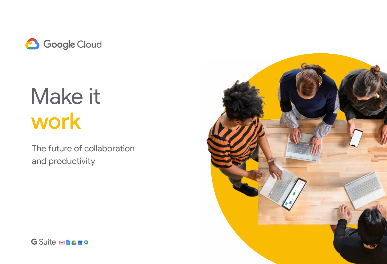

# Make it work

The future of collaboration and productivity



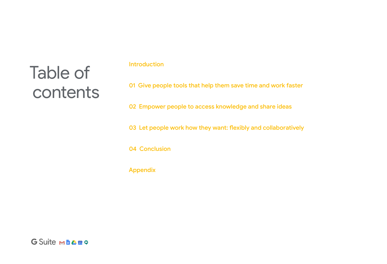## Table of contents

### Introduction

01 Give people tools that help them save time and work faster

02 Empower people to access knowledge and share ideas

03 Let people work how they want: flexibly and collaboratively

04 Conclusion

Appendix

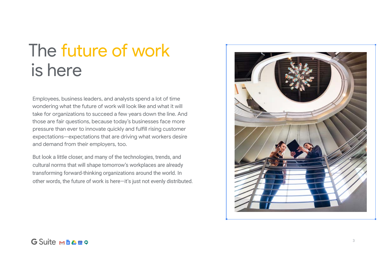Employees, business leaders, and analysts spend a lot of time wondering what the future of work will look like and what it will take for organizations to succeed a few years down the line. And those are fair questions, because today's businesses face more pressure than ever to innovate quickly and fulfill rising customer expectations—expectations that are driving what workers desire and demand from their employers, too.

But look a little closer, and many of the technologies, trends, and cultural norms that will shape tomorrow's workplaces are already transforming forward-thinking organizations around the world. In other words, the future of work is here—it's just not evenly distributed.





## The future of work is here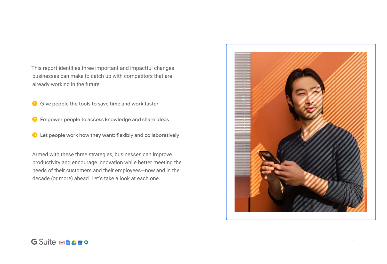This report identifies three important and impactful changes businesses can make to catch up with competitors that are already working in the future:

**O** Give people the tools to save time and work faster

2 Empower people to access knowledge and share ideas

➌ Let people work how they want: flexibly and collaboratively

Armed with these three strategies, businesses can improve productivity and encourage innovation while better meeting the needs of their customers and their employees—now and in the decade (or more) ahead. Let's take a look at each one.



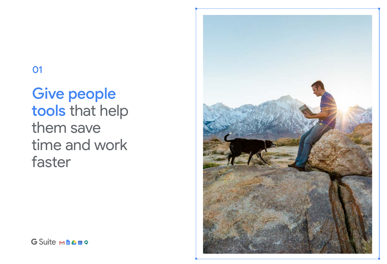### 01

### Give people tools that help them save time and work faster



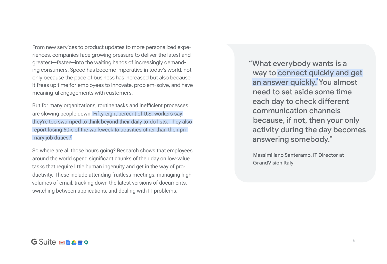But for many organizations, routine tasks and inefficient processes are slowing people down. Fifty-eight percent of U.S. workers say they're too swamped to think beyond their daily to-do lists. They also report losing 60% of the workweek to activities other than their primary job duties.<sup>1</sup>

From new services to product updates to more personalized experiences, companies face growing pressure to deliver the latest and greatest—faster—into the waiting hands of increasingly demanding consumers. Speed has become imperative in today's world, not only because the pace of business has increased but also because it frees up time for employees to innovate, problem-solve, and have meaningful engagements with customers.

So where are all those hours going? Research shows that employees around the world spend significant chunks of their day on low-value tasks that require little human ingenuity and get in the way of productivity. These include attending fruitless meetings, managing high volumes of email, tracking down the latest versions of documents, switching between applications, and dealing with IT problems.

"What everybody wants is a way to connect quickly and get an answer quickly. You almost need to set aside some time each day to check different communication channels because, if not, then your only activity during the day becomes answering somebody."

Massimiliano Santeramo, IT Director at GrandVision Italy

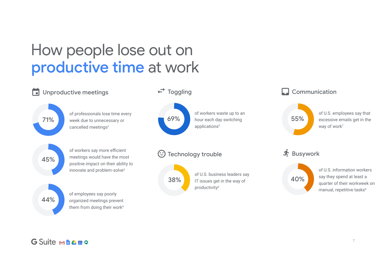### How people lose out on productive time at work

of U.S. employees say that excessive emails get in the way of work<sup>7</sup>

of U.S. information workers say they spend at least a quarter of their workweek on manual, repetitive tasks<sup>8</sup>





### G Suite Ma A 51 9

#### Communication



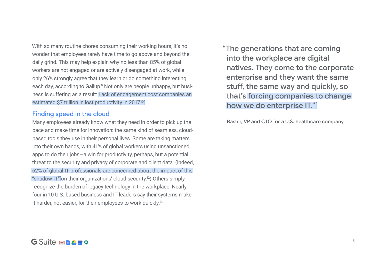Many employees already know what they need in order to pick up the pace and make time for innovation: the same kind of seamless, cloudbased tools they use in their personal lives. Some are taking matters into their own hands, with 41% of global workers using unsanctioned apps to do their jobs—a win for productivity, perhaps, but a potential threat to the security and privacy of corporate and client data. (Indeed, 62% of global IT professionals are concerned about the impact of this "shadow IT" on their organizations' cloud security.<sup>12</sup>) Others simply recognize the burden of legacy technology in the workplace: Nearly four in 10 U.S.-based business and IT leaders say their systems make it harder, not easier, for their employees to work quickly.<sup>13</sup>

With so many routine chores consuming their working hours, it's no wonder that employees rarely have time to go above and beyond the daily grind. This may help explain why no less than 85% of global workers are not engaged or are actively disengaged at work, while only 26% strongly agree that they learn or do something interesting each day, according to Gallup.<sup>9</sup> Not only are people unhappy, but business is suffering as a result: Lack of engagement cost companies an estimated \$7 trillion in lost productivity in 2017.<sup>10</sup>

#### Finding speed in the cloud

"The generations that are coming into the workplace are digital how we do enterprise IT."

### natives. They come to the corporate enterprise and they want the same stuff, the same way and quickly, so that's forcing companies to change

Bashir, VP and CTO for a U.S. healthcare company

### G Suite M LA 51 9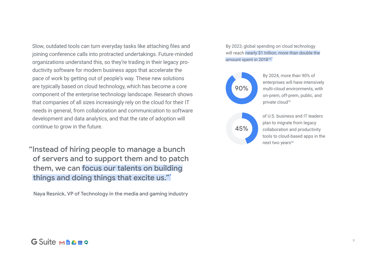"Instead of hiring people to manage a bunch of servers and to support them and to patch them, we can focus our talents on building things and doing things that excite us."

Naya Resnick, VP of Technology in the media and gaming industry



By 2024, more than 90% of enterprises will have intensively multi-cloud environments, with on-prem, off-prem, public, and private cloud<sup>15</sup>

of U.S. business and IT leaders plan to migrate from legacy collaboration and productivity tools to cloud-based apps in the next two years<sup>16</sup>

#### G Suite MEATO

Slow, outdated tools can turn everyday tasks like attaching files and joining conference calls into protracted undertakings. Future-minded organizations understand this, so they're trading in their legacy productivity software for modern business apps that accelerate the pace of work by getting out of people's way. These new solutions are typically based on cloud technology, which has become a core component of the enterprise technology landscape. Research shows that companies of all sizes increasingly rely on the cloud for their IT needs in general, from collaboration and communication to software development and data analytics, and that the rate of adoption will continue to grow in the future.